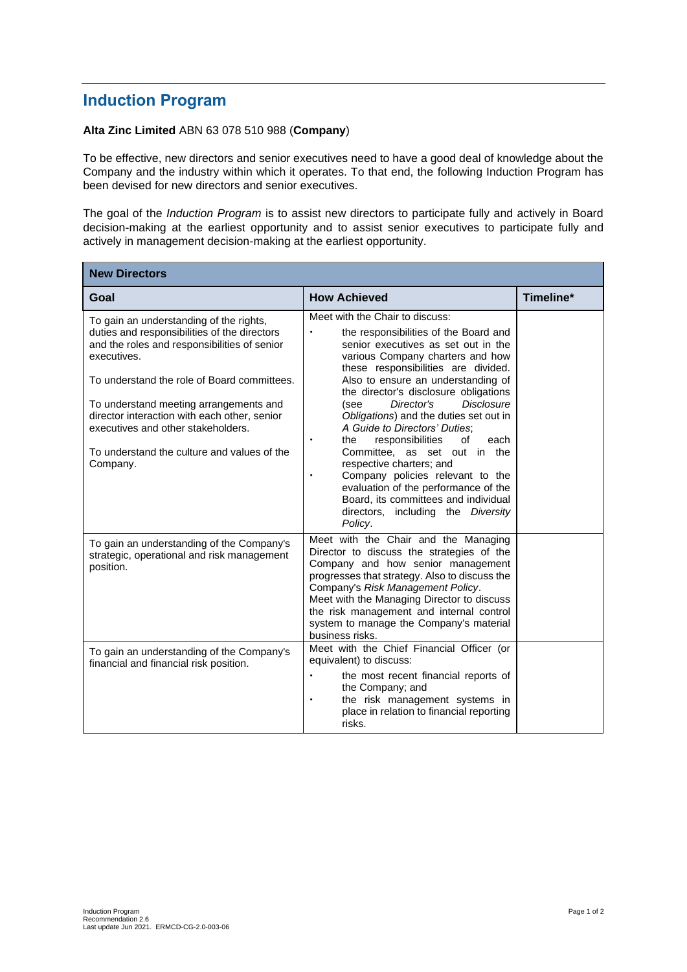## **Induction Program**

## **Alta Zinc Limited** ABN 63 078 510 988 (**Company**)

To be effective, new directors and senior executives need to have a good deal of knowledge about the Company and the industry within which it operates. To that end, the following Induction Program has been devised for new directors and senior executives.

The goal of the *Induction Program* is to assist new directors to participate fully and actively in Board decision-making at the earliest opportunity and to assist senior executives to participate fully and actively in management decision-making at the earliest opportunity.

| <b>New Directors</b>                                                                                                                                                                                                                                                                                                                                                                             |                                                                                                                                                                                                                                                                                                                                                                                                                                                                                                                                                                                                                                                                                                     |           |  |
|--------------------------------------------------------------------------------------------------------------------------------------------------------------------------------------------------------------------------------------------------------------------------------------------------------------------------------------------------------------------------------------------------|-----------------------------------------------------------------------------------------------------------------------------------------------------------------------------------------------------------------------------------------------------------------------------------------------------------------------------------------------------------------------------------------------------------------------------------------------------------------------------------------------------------------------------------------------------------------------------------------------------------------------------------------------------------------------------------------------------|-----------|--|
| Goal                                                                                                                                                                                                                                                                                                                                                                                             | <b>How Achieved</b>                                                                                                                                                                                                                                                                                                                                                                                                                                                                                                                                                                                                                                                                                 | Timeline* |  |
| To gain an understanding of the rights,<br>duties and responsibilities of the directors<br>and the roles and responsibilities of senior<br>executives.<br>To understand the role of Board committees.<br>To understand meeting arrangements and<br>director interaction with each other, senior<br>executives and other stakeholders.<br>To understand the culture and values of the<br>Company. | Meet with the Chair to discuss:<br>the responsibilities of the Board and<br>senior executives as set out in the<br>various Company charters and how<br>these responsibilities are divided.<br>Also to ensure an understanding of<br>the director's disclosure obligations<br><b>Disclosure</b><br>Director's<br>(see<br>Obligations) and the duties set out in<br>A Guide to Directors' Duties;<br>responsibilities<br>of<br>each<br>the<br>$\bullet$<br>Committee, as set out in the<br>respective charters; and<br>Company policies relevant to the<br>$\bullet$<br>evaluation of the performance of the<br>Board, its committees and individual<br>directors, including the Diversity<br>Policy. |           |  |
| To gain an understanding of the Company's<br>strategic, operational and risk management<br>position.                                                                                                                                                                                                                                                                                             | Meet with the Chair and the Managing<br>Director to discuss the strategies of the<br>Company and how senior management<br>progresses that strategy. Also to discuss the<br>Company's Risk Management Policy.<br>Meet with the Managing Director to discuss<br>the risk management and internal control<br>system to manage the Company's material<br>business risks.                                                                                                                                                                                                                                                                                                                                |           |  |
| To gain an understanding of the Company's<br>financial and financial risk position.                                                                                                                                                                                                                                                                                                              | Meet with the Chief Financial Officer (or<br>equivalent) to discuss:<br>the most recent financial reports of<br>$\bullet$<br>the Company; and<br>the risk management systems in<br>place in relation to financial reporting<br>risks.                                                                                                                                                                                                                                                                                                                                                                                                                                                               |           |  |